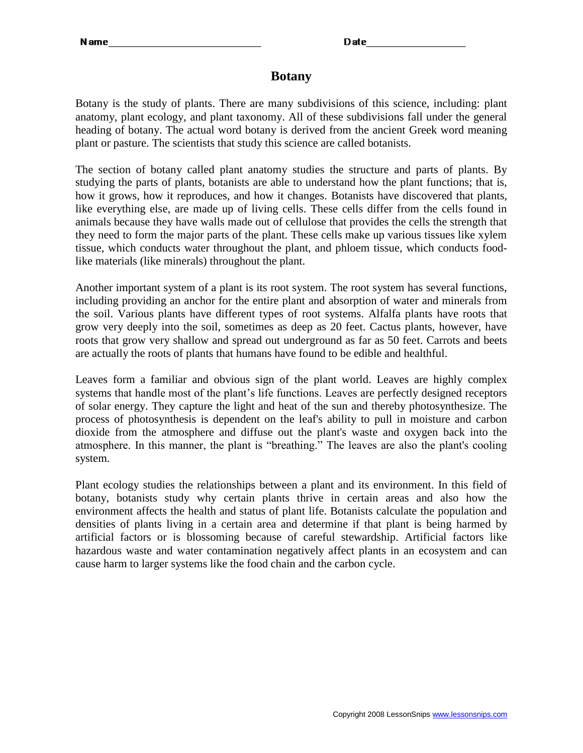## **Botany**

Botany is the study of plants. There are many subdivisions of this science, including: plant anatomy, plant ecology, and plant taxonomy. All of these subdivisions fall under the general heading of botany. The actual word botany is derived from the ancient Greek word meaning plant or pasture. The scientists that study this science are called botanists.

The section of botany called plant anatomy studies the structure and parts of plants. By studying the parts of plants, botanists are able to understand how the plant functions; that is, how it grows, how it reproduces, and how it changes. Botanists have discovered that plants, like everything else, are made up of living cells. These cells differ from the cells found in animals because they have walls made out of cellulose that provides the cells the strength that they need to form the major parts of the plant. These cells make up various tissues like xylem tissue, which conducts water throughout the plant, and phloem tissue, which conducts foodlike materials (like minerals) throughout the plant.

Another important system of a plant is its root system. The root system has several functions, including providing an anchor for the entire plant and absorption of water and minerals from the soil. Various plants have different types of root systems. Alfalfa plants have roots that grow very deeply into the soil, sometimes as deep as 20 feet. Cactus plants, however, have roots that grow very shallow and spread out underground as far as 50 feet. Carrots and beets are actually the roots of plants that humans have found to be edible and healthful.

Leaves form a familiar and obvious sign of the plant world. Leaves are highly complex systems that handle most of the plant's life functions. Leaves are perfectly designed receptors of solar energy. They capture the light and heat of the sun and thereby photosynthesize. The process of photosynthesis is dependent on the leaf's ability to pull in moisture and carbon dioxide from the atmosphere and diffuse out the plant's waste and oxygen back into the atmosphere. In this manner, the plant is "breathing." The leaves are also the plant's cooling system.

Plant ecology studies the relationships between a plant and its environment. In this field of botany, botanists study why certain plants thrive in certain areas and also how the environment affects the health and status of plant life. Botanists calculate the population and densities of plants living in a certain area and determine if that plant is being harmed by artificial factors or is blossoming because of careful stewardship. Artificial factors like hazardous waste and water contamination negatively affect plants in an ecosystem and can cause harm to larger systems like the food chain and the carbon cycle.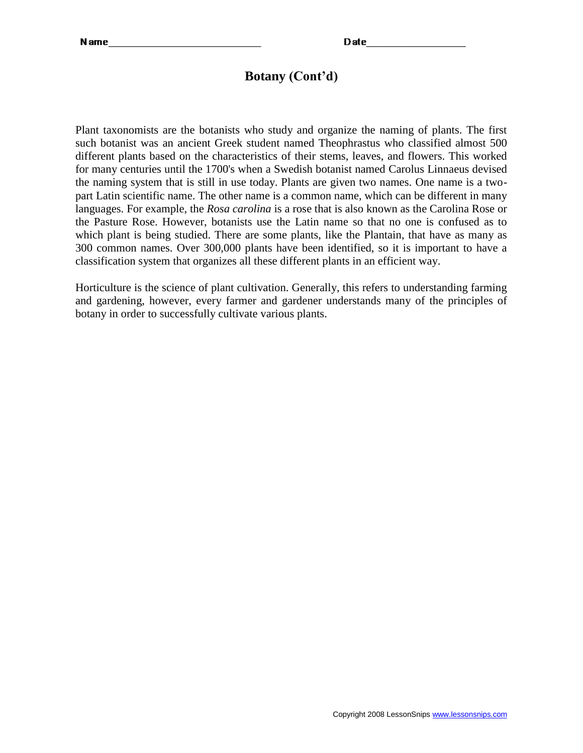# **Botany (Cont'd)**

Plant taxonomists are the botanists who study and organize the naming of plants. The first such botanist was an ancient Greek student named Theophrastus who classified almost 500 different plants based on the characteristics of their stems, leaves, and flowers. This worked for many centuries until the 1700's when a Swedish botanist named Carolus Linnaeus devised the naming system that is still in use today. Plants are given two names. One name is a twopart Latin scientific name. The other name is a common name, which can be different in many languages. For example, the *Rosa carolina* is a rose that is also known as the Carolina Rose or the Pasture Rose. However, botanists use the Latin name so that no one is confused as to which plant is being studied. There are some plants, like the Plantain, that have as many as 300 common names. Over 300,000 plants have been identified, so it is important to have a classification system that organizes all these different plants in an efficient way.

Horticulture is the science of plant cultivation. Generally, this refers to understanding farming and gardening, however, every farmer and gardener understands many of the principles of botany in order to successfully cultivate various plants.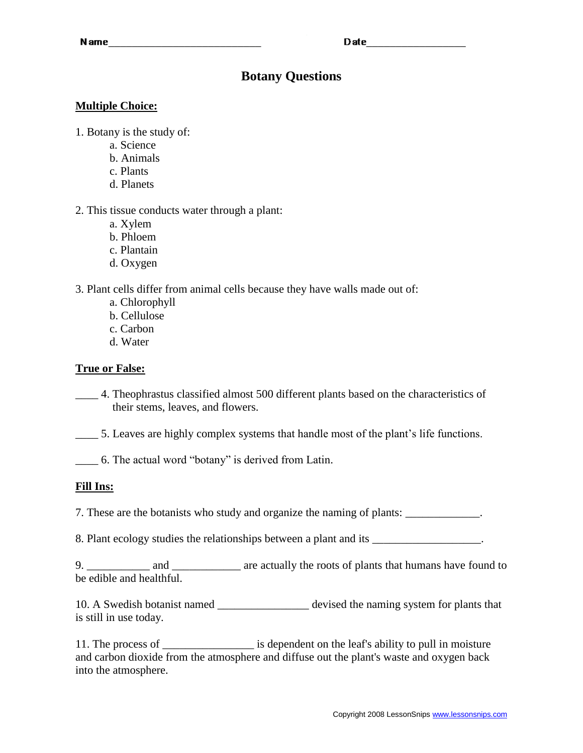# **Botany Questions**

#### **Multiple Choice:**

1. Botany is the study of:

- a. Science
- b. Animals
- c. Plants
- d. Planets

2. This tissue conducts water through a plant:

- a. Xylem
- b. Phloem
- c. Plantain
- d. Oxygen

3. Plant cells differ from animal cells because they have walls made out of:

- a. Chlorophyll
- b. Cellulose
- c. Carbon
- d. Water

### **True or False:**

\_\_\_\_ 4. Theophrastus classified almost 500 different plants based on the characteristics of their stems, leaves, and flowers.

\_\_\_\_ 5. Leaves are highly complex systems that handle most of the plant's life functions.

\_\_\_\_ 6. The actual word "botany" is derived from Latin.

### **Fill Ins:**

7. These are the botanists who study and organize the naming of plants: \_\_\_\_\_\_\_\_\_\_\_\_.

8. Plant ecology studies the relationships between a plant and its \_\_\_\_\_\_\_\_\_\_\_\_\_\_\_\_\_\_.

9. \_\_\_\_\_\_\_\_\_\_\_\_\_ and \_\_\_\_\_\_\_\_\_\_\_\_\_\_ are actually the roots of plants that humans have found to be edible and healthful.

10. A Swedish botanist named \_\_\_\_\_\_\_\_\_\_\_\_\_\_\_\_ devised the naming system for plants that is still in use today.

11. The process of  $\qquad \qquad$  is dependent on the leaf's ability to pull in moisture and carbon dioxide from the atmosphere and diffuse out the plant's waste and oxygen back into the atmosphere.